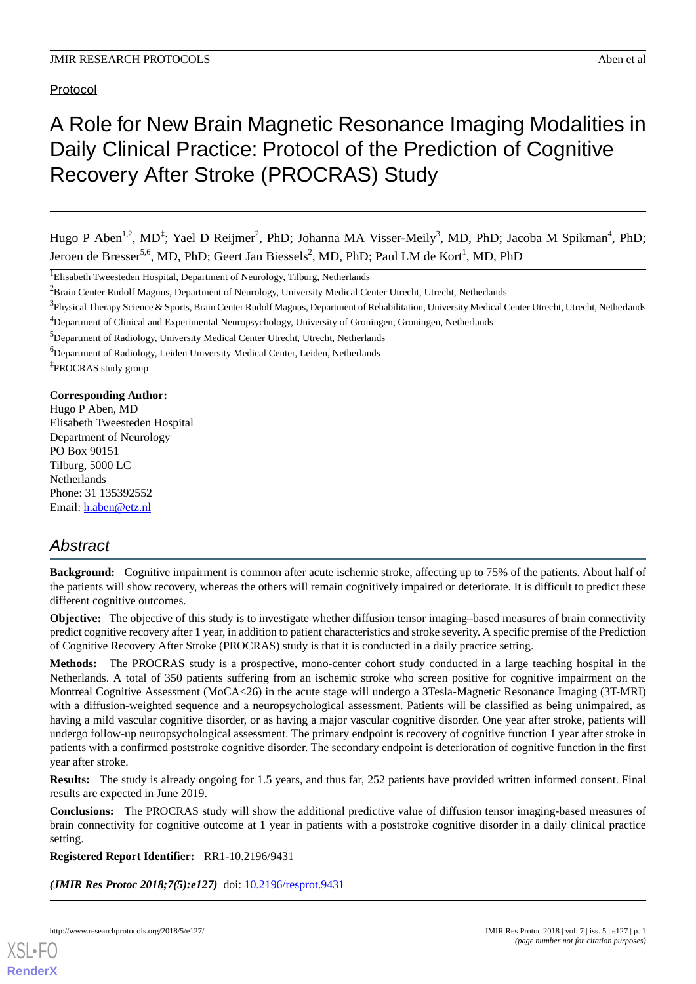Protocol

# A Role for New Brain Magnetic Resonance Imaging Modalities in Daily Clinical Practice: Protocol of the Prediction of Cognitive Recovery After Stroke (PROCRAS) Study

Hugo P Aben<sup>1,2</sup>, MD<sup>‡</sup>; Yael D Reijmer<sup>2</sup>, PhD; Johanna MA Visser-Meily<sup>3</sup>, MD, PhD; Jacoba M Spikman<sup>4</sup>, PhD; Jeroen de Bresser<sup>5,6</sup>, MD, PhD; Geert Jan Biessels<sup>2</sup>, MD, PhD; Paul LM de Kort<sup>1</sup>, MD, PhD

<sup>1</sup>Elisabeth Tweesteden Hospital, Department of Neurology, Tilburg, Netherlands

<sup>5</sup>Department of Radiology, University Medical Center Utrecht, Utrecht, Netherlands

<sup>6</sup>Department of Radiology, Leiden University Medical Center, Leiden, Netherlands

‡ PROCRAS study group

**Corresponding Author:**

Hugo P Aben, MD Elisabeth Tweesteden Hospital Department of Neurology PO Box 90151 Tilburg, 5000 LC Netherlands Phone: 31 135392552 Email: [h.aben@etz.nl](mailto:h.aben@etz.nl)

# *Abstract*

**Background:** Cognitive impairment is common after acute ischemic stroke, affecting up to 75% of the patients. About half of the patients will show recovery, whereas the others will remain cognitively impaired or deteriorate. It is difficult to predict these different cognitive outcomes.

**Objective:** The objective of this study is to investigate whether diffusion tensor imaging–based measures of brain connectivity predict cognitive recovery after 1 year, in addition to patient characteristics and stroke severity. A specific premise of the Prediction of Cognitive Recovery After Stroke (PROCRAS) study is that it is conducted in a daily practice setting.

**Methods:** The PROCRAS study is a prospective, mono-center cohort study conducted in a large teaching hospital in the Netherlands. A total of 350 patients suffering from an ischemic stroke who screen positive for cognitive impairment on the Montreal Cognitive Assessment (MoCA<26) in the acute stage will undergo a 3Tesla-Magnetic Resonance Imaging (3T-MRI) with a diffusion-weighted sequence and a neuropsychological assessment. Patients will be classified as being unimpaired, as having a mild vascular cognitive disorder, or as having a major vascular cognitive disorder. One year after stroke, patients will undergo follow-up neuropsychological assessment. The primary endpoint is recovery of cognitive function 1 year after stroke in patients with a confirmed poststroke cognitive disorder. The secondary endpoint is deterioration of cognitive function in the first year after stroke.

**Results:** The study is already ongoing for 1.5 years, and thus far, 252 patients have provided written informed consent. Final results are expected in June 2019.

**Conclusions:** The PROCRAS study will show the additional predictive value of diffusion tensor imaging-based measures of brain connectivity for cognitive outcome at 1 year in patients with a poststroke cognitive disorder in a daily clinical practice setting.

**Registered Report Identifier:** RR1-10.2196/9431

*(JMIR Res Protoc 2018;7(5):e127)* doi:  $10.2196$ /resprot.9431



<sup>&</sup>lt;sup>2</sup>Brain Center Rudolf Magnus, Department of Neurology, University Medical Center Utrecht, Utrecht, Netherlands

<sup>&</sup>lt;sup>3</sup>Physical Therapy Science & Sports, Brain Center Rudolf Magnus, Department of Rehabilitation, University Medical Center Utrecht, Utrecht, Netherlands <sup>4</sup>Department of Clinical and Experimental Neuropsychology, University of Groningen, Groningen, Netherlands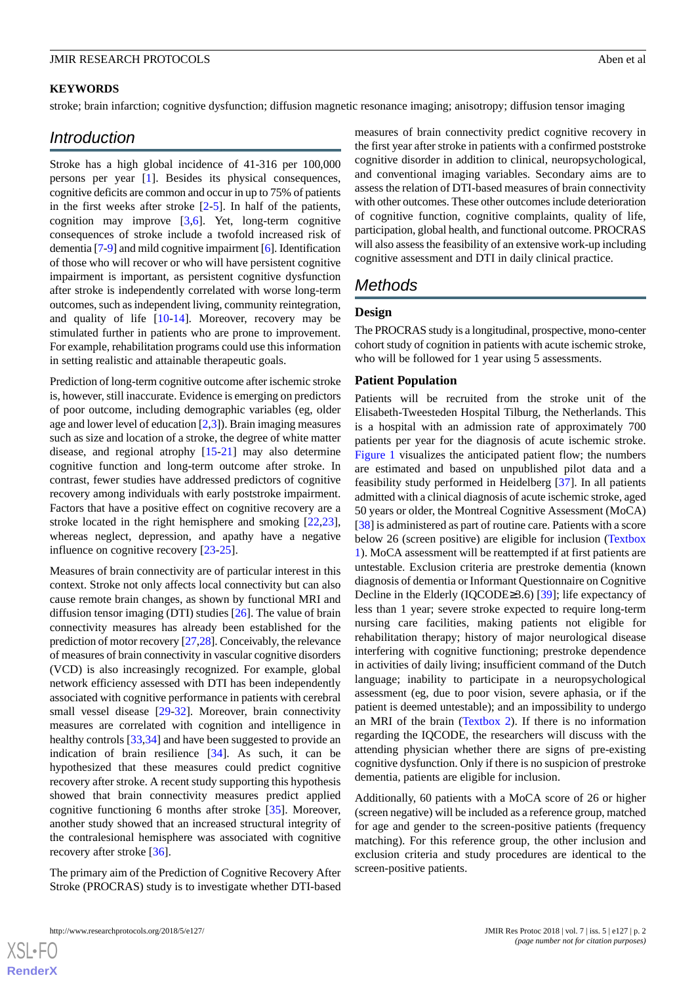#### **KEYWORDS**

stroke; brain infarction; cognitive dysfunction; diffusion magnetic resonance imaging; anisotropy; diffusion tensor imaging

# *Introduction*

Stroke has a high global incidence of 41-316 per 100,000 persons per year [[1\]](#page-7-0). Besides its physical consequences, cognitive deficits are common and occur in up to 75% of patients in the first weeks after stroke  $[2-5]$  $[2-5]$  $[2-5]$  $[2-5]$ . In half of the patients, cognition may improve [[3](#page-7-3),[6\]](#page-7-4). Yet, long-term cognitive consequences of stroke include a twofold increased risk of dementia [[7-](#page-7-5)[9\]](#page-7-6) and mild cognitive impairment [\[6](#page-7-4)]. Identification of those who will recover or who will have persistent cognitive impairment is important, as persistent cognitive dysfunction after stroke is independently correlated with worse long-term outcomes, such as independent living, community reintegration, and quality of life [[10-](#page-7-7)[14](#page-7-8)]. Moreover, recovery may be stimulated further in patients who are prone to improvement. For example, rehabilitation programs could use this information in setting realistic and attainable therapeutic goals.

Prediction of long-term cognitive outcome after ischemic stroke is, however, still inaccurate. Evidence is emerging on predictors of poor outcome, including demographic variables (eg, older age and lower level of education [\[2](#page-7-1),[3\]](#page-7-3)). Brain imaging measures such as size and location of a stroke, the degree of white matter disease, and regional atrophy [[15](#page-7-9)[-21](#page-8-0)] may also determine cognitive function and long-term outcome after stroke. In contrast, fewer studies have addressed predictors of cognitive recovery among individuals with early poststroke impairment. Factors that have a positive effect on cognitive recovery are a stroke located in the right hemisphere and smoking [\[22](#page-8-1),[23\]](#page-8-2), whereas neglect, depression, and apathy have a negative influence on cognitive recovery [[23-](#page-8-2)[25\]](#page-8-3).

Measures of brain connectivity are of particular interest in this context. Stroke not only affects local connectivity but can also cause remote brain changes, as shown by functional MRI and diffusion tensor imaging (DTI) studies [\[26](#page-8-4)]. The value of brain connectivity measures has already been established for the prediction of motor recovery [\[27](#page-8-5),[28](#page-8-6)]. Conceivably, the relevance of measures of brain connectivity in vascular cognitive disorders (VCD) is also increasingly recognized. For example, global network efficiency assessed with DTI has been independently associated with cognitive performance in patients with cerebral small vessel disease [\[29](#page-8-7)[-32](#page-8-8)]. Moreover, brain connectivity measures are correlated with cognition and intelligence in healthy controls [[33](#page-8-9)[,34](#page-8-10)] and have been suggested to provide an indication of brain resilience [[34\]](#page-8-10). As such, it can be hypothesized that these measures could predict cognitive recovery after stroke. A recent study supporting this hypothesis showed that brain connectivity measures predict applied cognitive functioning 6 months after stroke [\[35](#page-8-11)]. Moreover, another study showed that an increased structural integrity of the contralesional hemisphere was associated with cognitive recovery after stroke [[36\]](#page-8-12).

The primary aim of the Prediction of Cognitive Recovery After Stroke (PROCRAS) study is to investigate whether DTI-based

measures of brain connectivity predict cognitive recovery in the first year after stroke in patients with a confirmed poststroke cognitive disorder in addition to clinical, neuropsychological, and conventional imaging variables. Secondary aims are to assess the relation of DTI-based measures of brain connectivity with other outcomes. These other outcomes include deterioration of cognitive function, cognitive complaints, quality of life, participation, global health, and functional outcome. PROCRAS will also assess the feasibility of an extensive work-up including cognitive assessment and DTI in daily clinical practice.

# *Methods*

## **Design**

The PROCRAS study is a longitudinal, prospective, mono-center cohort study of cognition in patients with acute ischemic stroke, who will be followed for 1 year using 5 assessments.

#### **Patient Population**

Patients will be recruited from the stroke unit of the Elisabeth-Tweesteden Hospital Tilburg, the Netherlands. This is a hospital with an admission rate of approximately 700 patients per year for the diagnosis of acute ischemic stroke. [Figure 1](#page-2-0) visualizes the anticipated patient flow; the numbers are estimated and based on unpublished pilot data and a feasibility study performed in Heidelberg [\[37](#page-8-13)]. In all patients admitted with a clinical diagnosis of acute ischemic stroke, aged 50 years or older, the Montreal Cognitive Assessment (MoCA) [[38\]](#page-8-14) is administered as part of routine care. Patients with a score below 26 (screen positive) are eligible for inclusion [\(Textbox](#page-2-1) [1\)](#page-2-1). MoCA assessment will be reattempted if at first patients are untestable. Exclusion criteria are prestroke dementia (known diagnosis of dementia or Informant Questionnaire on Cognitive Decline in the Elderly (IQCODE≥3.6) [[39\]](#page-8-15); life expectancy of less than 1 year; severe stroke expected to require long-term nursing care facilities, making patients not eligible for rehabilitation therapy; history of major neurological disease interfering with cognitive functioning; prestroke dependence in activities of daily living; insufficient command of the Dutch language; inability to participate in a neuropsychological assessment (eg, due to poor vision, severe aphasia, or if the patient is deemed untestable); and an impossibility to undergo an MRI of the brain ([Textbox 2](#page-2-2)). If there is no information regarding the IQCODE, the researchers will discuss with the attending physician whether there are signs of pre-existing cognitive dysfunction. Only if there is no suspicion of prestroke dementia, patients are eligible for inclusion.

Additionally, 60 patients with a MoCA score of 26 or higher (screen negative) will be included as a reference group, matched for age and gender to the screen-positive patients (frequency matching). For this reference group, the other inclusion and exclusion criteria and study procedures are identical to the screen-positive patients.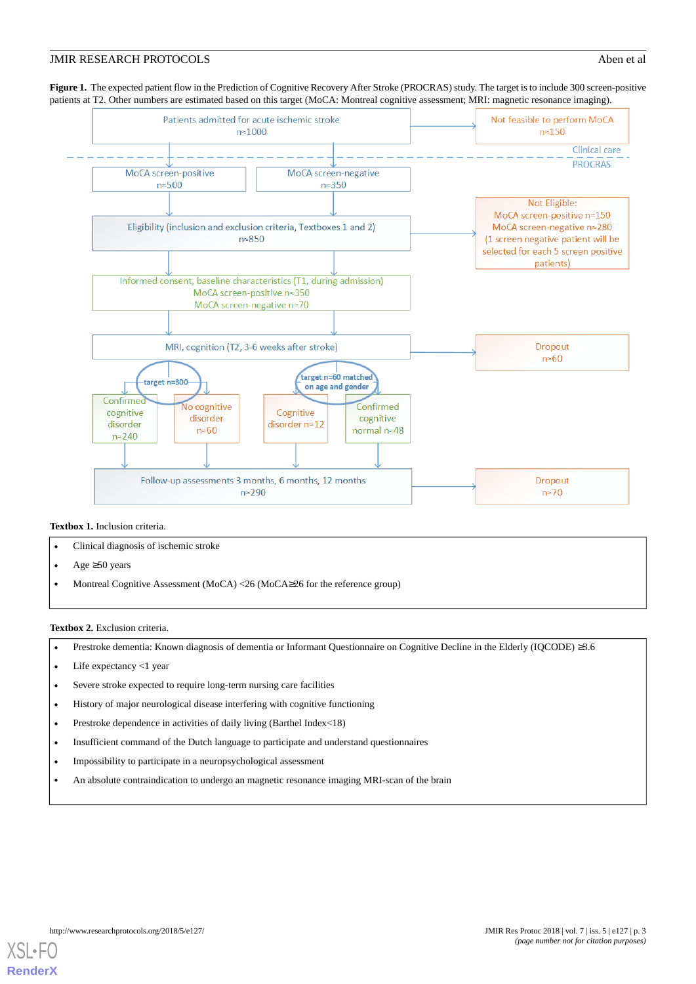<span id="page-2-0"></span>**Figure 1.** The expected patient flow in the Prediction of Cognitive Recovery After Stroke (PROCRAS) study. The target is to include 300 screen-positive patients at T2. Other numbers are estimated based on this target (MoCA: Montreal cognitive assessment; MRI: magnetic resonance imaging).



#### <span id="page-2-1"></span>**Textbox 1.** Inclusion criteria.

- Clinical diagnosis of ischemic stroke
- <span id="page-2-2"></span>• Age  $\geq 50$  years
- Montreal Cognitive Assessment (MoCA) <26 (MoCA≥26 for the reference group)

#### **Textbox 2.** Exclusion criteria.

- Prestroke dementia: Known diagnosis of dementia or Informant Questionnaire on Cognitive Decline in the Elderly (IQCODE) ≥3.6
- Life expectancy  $\langle 1 \rangle$  year
- Severe stroke expected to require long-term nursing care facilities
- History of major neurological disease interfering with cognitive functioning
- Prestroke dependence in activities of daily living (Barthel Index<18)
- Insufficient command of the Dutch language to participate and understand questionnaires
- Impossibility to participate in a neuropsychological assessment
- An absolute contraindication to undergo an magnetic resonance imaging MRI-scan of the brain

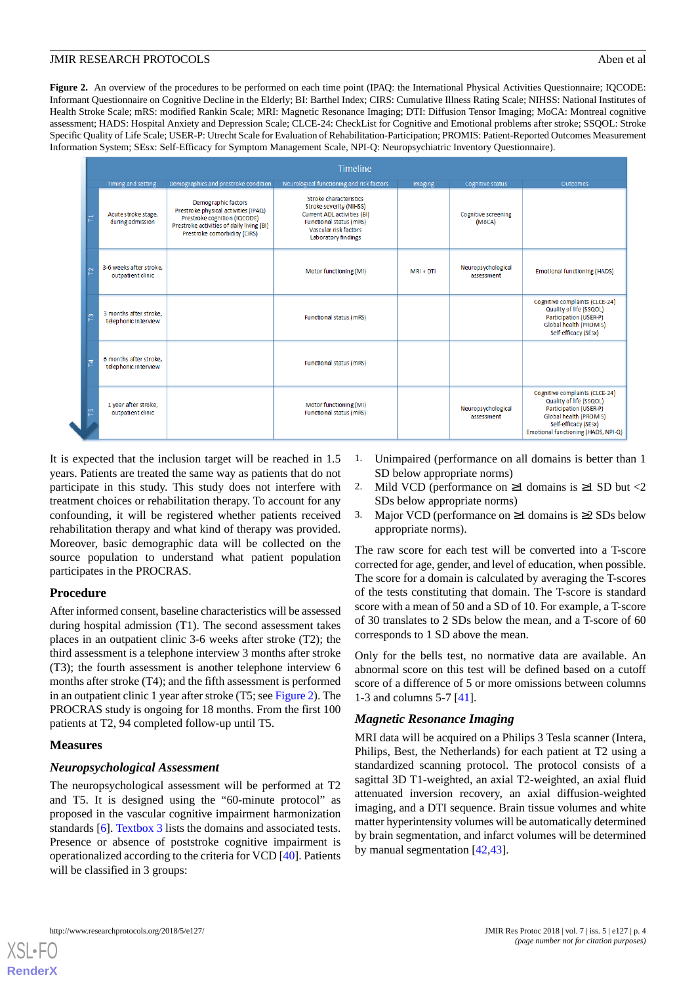<span id="page-3-0"></span>Figure 2. An overview of the procedures to be performed on each time point (IPAQ: the International Physical Activities Questionnaire; IQCODE: Informant Questionnaire on Cognitive Decline in the Elderly; BI: Barthel Index; CIRS: Cumulative Illness Rating Scale; NIHSS: National Institutes of Health Stroke Scale; mRS: modified Rankin Scale; MRI: Magnetic Resonance Imaging; DTI: Diffusion Tensor Imaging; MoCA: Montreal cognitive assessment; HADS: Hospital Anxiety and Depression Scale; CLCE-24: CheckList for Cognitive and Emotional problems after stroke; SSQOL: Stroke Specific Quality of Life Scale; USER-P: Utrecht Scale for Evaluation of Rehabilitation-Participation; PROMIS: Patient-Reported Outcomes Measurement Information System; SEsx: Self-Efficacy for Symptom Management Scale, NPI-Q: Neuropsychiatric Inventory Questionnaire).

|          | Timeline                                       |                                                                                                                                                                          |                                                                                                                                                             |             |                                      |                                                                                                                                                                              |  |
|----------|------------------------------------------------|--------------------------------------------------------------------------------------------------------------------------------------------------------------------------|-------------------------------------------------------------------------------------------------------------------------------------------------------------|-------------|--------------------------------------|------------------------------------------------------------------------------------------------------------------------------------------------------------------------------|--|
|          | Timing and setting                             | Demographics and prestroke condition                                                                                                                                     | Neurological functioning and risk factors                                                                                                                   | Imaging     | Cognitive status                     | Outcomes                                                                                                                                                                     |  |
| 른        | Acute stroke stage,<br>during admission        | Demographic factors<br>Prestroke physical activities (IPAQ)<br>Prestroke cognition (IQCODE)<br>Prestroke activities of daily living (BI)<br>Prestroke comorbidity (CIRS) | Stroke characteristics<br>Stroke severity (NIHSS)<br>Current ADL activities (BI)<br>Functional status (mRS)<br>Vascular risk factors<br>Laboratory findings |             | <b>Cognitive screening</b><br>(MoCA) |                                                                                                                                                                              |  |
| <b>Z</b> | 3-6 weeks after stroke.<br>outpatient clinic   |                                                                                                                                                                          | Motor functioning (MI)                                                                                                                                      | $MRI + DTI$ | Neuropsychological<br>assessment     | <b>Emotional functioning (HADS)</b>                                                                                                                                          |  |
| m        | 3 months after stroke.<br>telephonic interview |                                                                                                                                                                          | Functional status (mRS)                                                                                                                                     |             |                                      | Cognitive complaints (CLCE-24)<br>Quality of life (SSQOL)<br>Participation (USER-P)<br>Global health (PROMIS)<br>Self-efficacy (SEsx)                                        |  |
| 혼        | 6 months after stroke.<br>telephonic interview |                                                                                                                                                                          | Functional status (mRS)                                                                                                                                     |             |                                      |                                                                                                                                                                              |  |
| 면        | 1 year after stroke,<br>outpatient clinic      |                                                                                                                                                                          | Motor functioning (MI)<br>Functional status (mRS)                                                                                                           |             | Neuropsychological<br>assessment     | Cognitive complaints (CLCE-24)<br>Quality of life (SSQOL)<br>Participation (USER-P)<br>Global health (PROMIS)<br>Self-efficacy (SEsx)<br>Emotional functioning (HADS, NPI-Q) |  |

It is expected that the inclusion target will be reached in 1.5 years. Patients are treated the same way as patients that do not participate in this study. This study does not interfere with treatment choices or rehabilitation therapy. To account for any confounding, it will be registered whether patients received rehabilitation therapy and what kind of therapy was provided. Moreover, basic demographic data will be collected on the source population to understand what patient population participates in the PROCRAS.

# **Procedure**

After informed consent, baseline characteristics will be assessed during hospital admission (T1). The second assessment takes places in an outpatient clinic 3-6 weeks after stroke (T2); the third assessment is a telephone interview 3 months after stroke (T3); the fourth assessment is another telephone interview 6 months after stroke (T4); and the fifth assessment is performed in an outpatient clinic 1 year after stroke (T5; see [Figure 2](#page-3-0)). The PROCRAS study is ongoing for 18 months. From the first 100 patients at T2, 94 completed follow-up until T5.

#### **Measures**

# *Neuropsychological Assessment*

The neuropsychological assessment will be performed at T2 and T5. It is designed using the "60-minute protocol" as proposed in the vascular cognitive impairment harmonization standards [\[6](#page-7-4)]. [Textbox 3](#page-4-0) lists the domains and associated tests. Presence or absence of poststroke cognitive impairment is operationalized according to the criteria for VCD [\[40](#page-8-16)]. Patients will be classified in 3 groups:

- Unimpaired (performance on all domains is better than 1 SD below appropriate norms)
- 2. Mild VCD (performance on  $\geq 1$  domains is  $\geq 1$  SD but <2 SDs below appropriate norms)
- 3. Major VCD (performance on  $\geq 1$  domains is  $\geq 2$  SDs below appropriate norms).

The raw score for each test will be converted into a T-score corrected for age, gender, and level of education, when possible. The score for a domain is calculated by averaging the T-scores of the tests constituting that domain. The T-score is standard score with a mean of 50 and a SD of 10. For example, a T-score of 30 translates to 2 SDs below the mean, and a T-score of 60 corresponds to 1 SD above the mean.

Only for the bells test, no normative data are available. An abnormal score on this test will be defined based on a cutoff score of a difference of 5 or more omissions between columns 1-3 and columns 5-7 [[41\]](#page-8-17).

# *Magnetic Resonance Imaging*

MRI data will be acquired on a Philips 3 Tesla scanner (Intera, Philips, Best, the Netherlands) for each patient at T2 using a standardized scanning protocol. The protocol consists of a sagittal 3D T1-weighted, an axial T2-weighted, an axial fluid attenuated inversion recovery, an axial diffusion-weighted imaging, and a DTI sequence. Brain tissue volumes and white matter hyperintensity volumes will be automatically determined by brain segmentation, and infarct volumes will be determined by manual segmentation [\[42](#page-8-18),[43\]](#page-8-19).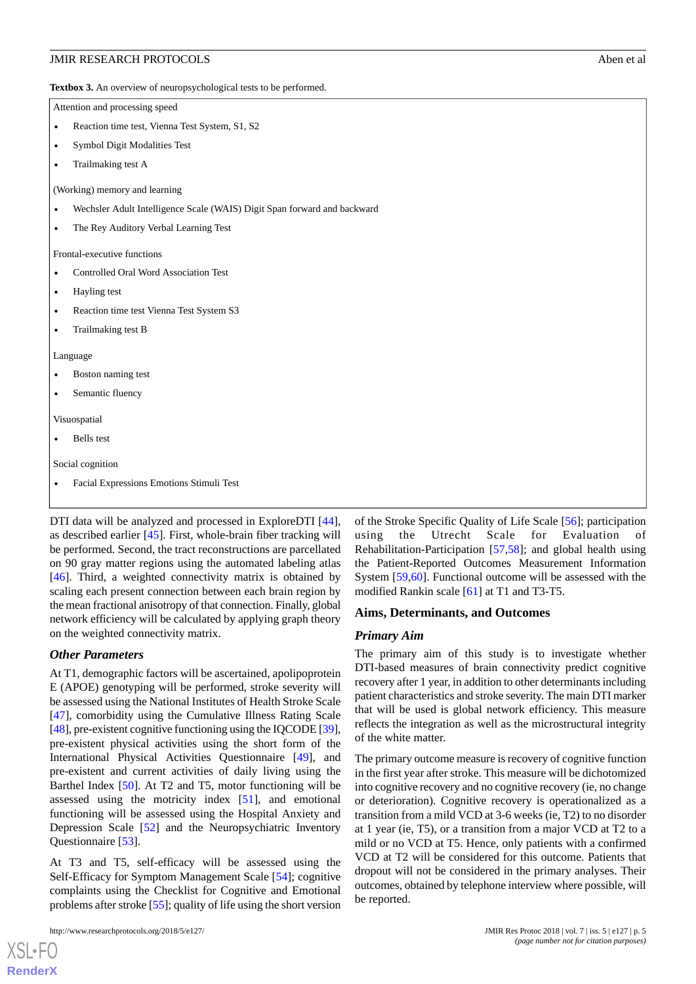<span id="page-4-0"></span>**Textbox 3.** An overview of neuropsychological tests to be performed.

Attention and processing speed

- Reaction time test, Vienna Test System, S1, S2
- Symbol Digit Modalities Test
- Trailmaking test A

(Working) memory and learning

- Wechsler Adult Intelligence Scale (WAIS) Digit Span forward and backward
- The Rey Auditory Verbal Learning Test

Frontal-executive functions

- Controlled Oral Word Association Test
- Hayling test
- Reaction time test Vienna Test System S3
- Trailmaking test B

Language

- Boston naming test
- Semantic fluency

Visuospatial

Bells test

Social cognition

• Facial Expressions Emotions Stimuli Test

DTI data will be analyzed and processed in ExploreDTI [[44\]](#page-9-0), as described earlier [\[45](#page-9-1)]. First, whole-brain fiber tracking will be performed. Second, the tract reconstructions are parcellated on 90 gray matter regions using the automated labeling atlas [[46\]](#page-9-2). Third, a weighted connectivity matrix is obtained by scaling each present connection between each brain region by the mean fractional anisotropy of that connection. Finally, global network efficiency will be calculated by applying graph theory on the weighted connectivity matrix.

#### *Other Parameters*

At T1, demographic factors will be ascertained, apolipoprotein E (APOE) genotyping will be performed, stroke severity will be assessed using the National Institutes of Health Stroke Scale [[47\]](#page-9-3), comorbidity using the Cumulative Illness Rating Scale [[48\]](#page-9-4), pre-existent cognitive functioning using the IQCODE [\[39\]](#page-8-15), pre-existent physical activities using the short form of the International Physical Activities Questionnaire [\[49](#page-9-5)], and pre-existent and current activities of daily living using the Barthel Index [[50\]](#page-9-6). At T2 and T5, motor functioning will be assessed using the motricity index [\[51](#page-9-7)], and emotional functioning will be assessed using the Hospital Anxiety and Depression Scale [\[52](#page-9-8)] and the Neuropsychiatric Inventory Questionnaire [\[53](#page-9-9)].

At T3 and T5, self-efficacy will be assessed using the Self-Efficacy for Symptom Management Scale [\[54](#page-9-10)]; cognitive complaints using the Checklist for Cognitive and Emotional problems after stroke [[55\]](#page-9-11); quality of life using the short version

http://www.researchprotocols.org/2018/5/e127/ JMIR Res Protoc 2018 | vol. 7 | iss. 5 | e127 | p. 5

[XSL](http://www.w3.org/Style/XSL)•FO **[RenderX](http://www.renderx.com/)**

of the Stroke Specific Quality of Life Scale [[56\]](#page-9-12); participation using the Utrecht Scale for Evaluation of Rehabilitation-Participation [\[57](#page-9-13),[58\]](#page-9-14); and global health using the Patient-Reported Outcomes Measurement Information System [\[59](#page-9-15),[60\]](#page-9-16). Functional outcome will be assessed with the modified Rankin scale [\[61](#page-9-17)] at T1 and T3-T5.

#### **Aims, Determinants, and Outcomes**

#### *Primary Aim*

The primary aim of this study is to investigate whether DTI-based measures of brain connectivity predict cognitive recovery after 1 year, in addition to other determinants including patient characteristics and stroke severity. The main DTI marker that will be used is global network efficiency. This measure reflects the integration as well as the microstructural integrity of the white matter.

The primary outcome measure is recovery of cognitive function in the first year after stroke. This measure will be dichotomized into cognitive recovery and no cognitive recovery (ie, no change or deterioration). Cognitive recovery is operationalized as a transition from a mild VCD at 3-6 weeks (ie, T2) to no disorder at 1 year (ie, T5), or a transition from a major VCD at T2 to a mild or no VCD at T5. Hence, only patients with a confirmed VCD at T2 will be considered for this outcome. Patients that dropout will not be considered in the primary analyses. Their outcomes, obtained by telephone interview where possible, will be reported.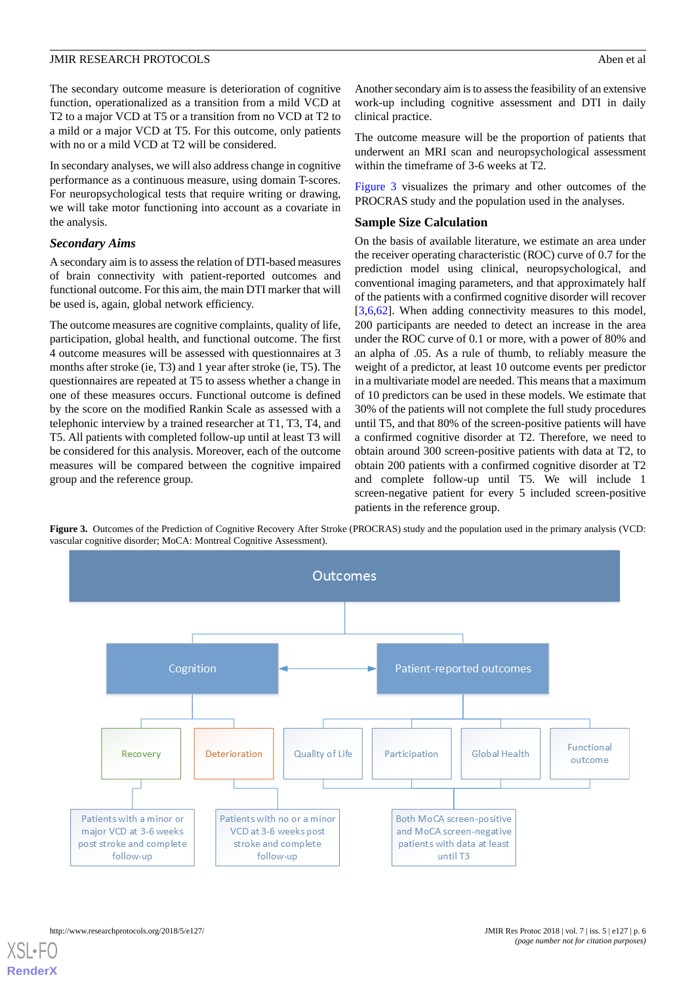The secondary outcome measure is deterioration of cognitive function, operationalized as a transition from a mild VCD at T2 to a major VCD at T5 or a transition from no VCD at T2 to a mild or a major VCD at T5. For this outcome, only patients with no or a mild VCD at T2 will be considered.

In secondary analyses, we will also address change in cognitive performance as a continuous measure, using domain T-scores. For neuropsychological tests that require writing or drawing, we will take motor functioning into account as a covariate in the analysis.

#### *Secondary Aims*

A secondary aim is to assess the relation of DTI-based measures of brain connectivity with patient-reported outcomes and functional outcome. For this aim, the main DTI marker that will be used is, again, global network efficiency.

The outcome measures are cognitive complaints, quality of life, participation, global health, and functional outcome. The first 4 outcome measures will be assessed with questionnaires at 3 months after stroke (ie, T3) and 1 year after stroke (ie, T5). The questionnaires are repeated at T5 to assess whether a change in one of these measures occurs. Functional outcome is defined by the score on the modified Rankin Scale as assessed with a telephonic interview by a trained researcher at T1, T3, T4, and T5. All patients with completed follow-up until at least T3 will be considered for this analysis. Moreover, each of the outcome measures will be compared between the cognitive impaired group and the reference group.

Another secondary aim is to assess the feasibility of an extensive work-up including cognitive assessment and DTI in daily clinical practice.

The outcome measure will be the proportion of patients that underwent an MRI scan and neuropsychological assessment within the timeframe of 3-6 weeks at T2.

[Figure 3](#page-5-0) visualizes the primary and other outcomes of the PROCRAS study and the population used in the analyses.

#### **Sample Size Calculation**

On the basis of available literature, we estimate an area under the receiver operating characteristic (ROC) curve of 0.7 for the prediction model using clinical, neuropsychological, and conventional imaging parameters, and that approximately half of the patients with a confirmed cognitive disorder will recover [[3](#page-7-3)[,6,](#page-7-4)[62\]](#page-9-18). When adding connectivity measures to this model, 200 participants are needed to detect an increase in the area under the ROC curve of 0.1 or more, with a power of 80% and an alpha of .05. As a rule of thumb, to reliably measure the weight of a predictor, at least 10 outcome events per predictor in a multivariate model are needed. This means that a maximum of 10 predictors can be used in these models. We estimate that 30% of the patients will not complete the full study procedures until T5, and that 80% of the screen-positive patients will have a confirmed cognitive disorder at T2. Therefore, we need to obtain around 300 screen-positive patients with data at T2, to obtain 200 patients with a confirmed cognitive disorder at T2 and complete follow-up until T5. We will include 1 screen-negative patient for every 5 included screen-positive patients in the reference group.

<span id="page-5-0"></span>Figure 3. Outcomes of the Prediction of Cognitive Recovery After Stroke (PROCRAS) study and the population used in the primary analysis (VCD: vascular cognitive disorder; MoCA: Montreal Cognitive Assessment).

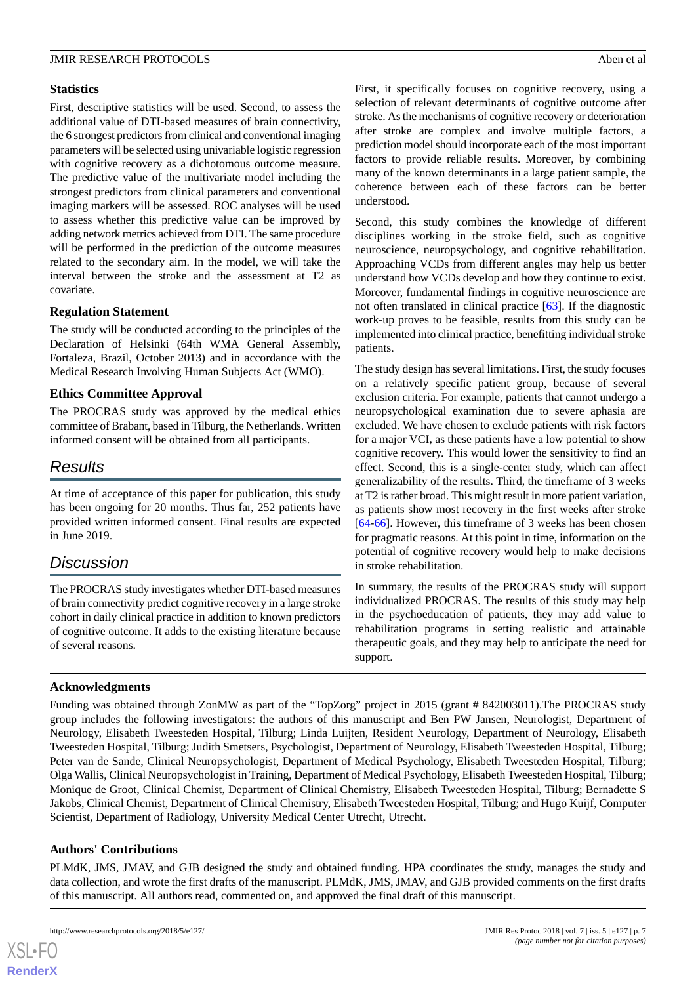## **Statistics**

First, descriptive statistics will be used. Second, to assess the additional value of DTI-based measures of brain connectivity, the 6 strongest predictors from clinical and conventional imaging parameters will be selected using univariable logistic regression with cognitive recovery as a dichotomous outcome measure. The predictive value of the multivariate model including the strongest predictors from clinical parameters and conventional imaging markers will be assessed. ROC analyses will be used to assess whether this predictive value can be improved by adding network metrics achieved from DTI. The same procedure will be performed in the prediction of the outcome measures related to the secondary aim. In the model, we will take the interval between the stroke and the assessment at T2 as covariate.

# **Regulation Statement**

The study will be conducted according to the principles of the Declaration of Helsinki (64th WMA General Assembly, Fortaleza, Brazil, October 2013) and in accordance with the Medical Research Involving Human Subjects Act (WMO).

# **Ethics Committee Approval**

The PROCRAS study was approved by the medical ethics committee of Brabant, based in Tilburg, the Netherlands. Written informed consent will be obtained from all participants.

# *Results*

At time of acceptance of this paper for publication, this study has been ongoing for 20 months. Thus far, 252 patients have provided written informed consent. Final results are expected in June 2019.

# *Discussion*

The PROCRAS study investigates whether DTI-based measures of brain connectivity predict cognitive recovery in a large stroke cohort in daily clinical practice in addition to known predictors of cognitive outcome. It adds to the existing literature because of several reasons.

First, it specifically focuses on cognitive recovery, using a selection of relevant determinants of cognitive outcome after stroke. As the mechanisms of cognitive recovery or deterioration after stroke are complex and involve multiple factors, a prediction model should incorporate each of the most important factors to provide reliable results. Moreover, by combining many of the known determinants in a large patient sample, the coherence between each of these factors can be better understood.

Second, this study combines the knowledge of different disciplines working in the stroke field, such as cognitive neuroscience, neuropsychology, and cognitive rehabilitation. Approaching VCDs from different angles may help us better understand how VCDs develop and how they continue to exist. Moreover, fundamental findings in cognitive neuroscience are not often translated in clinical practice [\[63](#page-9-19)]. If the diagnostic work-up proves to be feasible, results from this study can be implemented into clinical practice, benefitting individual stroke patients.

The study design has several limitations. First, the study focuses on a relatively specific patient group, because of several exclusion criteria. For example, patients that cannot undergo a neuropsychological examination due to severe aphasia are excluded. We have chosen to exclude patients with risk factors for a major VCI, as these patients have a low potential to show cognitive recovery. This would lower the sensitivity to find an effect. Second, this is a single-center study, which can affect generalizability of the results. Third, the timeframe of 3 weeks at T2 is rather broad. This might result in more patient variation, as patients show most recovery in the first weeks after stroke [[64](#page-9-20)[-66](#page-10-0)]. However, this timeframe of 3 weeks has been chosen for pragmatic reasons. At this point in time, information on the potential of cognitive recovery would help to make decisions in stroke rehabilitation.

In summary, the results of the PROCRAS study will support individualized PROCRAS. The results of this study may help in the psychoeducation of patients, they may add value to rehabilitation programs in setting realistic and attainable therapeutic goals, and they may help to anticipate the need for support.

# **Acknowledgments**

Funding was obtained through ZonMW as part of the "TopZorg" project in 2015 (grant # 842003011).The PROCRAS study group includes the following investigators: the authors of this manuscript and Ben PW Jansen, Neurologist, Department of Neurology, Elisabeth Tweesteden Hospital, Tilburg; Linda Luijten, Resident Neurology, Department of Neurology, Elisabeth Tweesteden Hospital, Tilburg; Judith Smetsers, Psychologist, Department of Neurology, Elisabeth Tweesteden Hospital, Tilburg; Peter van de Sande, Clinical Neuropsychologist, Department of Medical Psychology, Elisabeth Tweesteden Hospital, Tilburg; Olga Wallis, Clinical Neuropsychologist in Training, Department of Medical Psychology, Elisabeth Tweesteden Hospital, Tilburg; Monique de Groot, Clinical Chemist, Department of Clinical Chemistry, Elisabeth Tweesteden Hospital, Tilburg; Bernadette S Jakobs, Clinical Chemist, Department of Clinical Chemistry, Elisabeth Tweesteden Hospital, Tilburg; and Hugo Kuijf, Computer Scientist, Department of Radiology, University Medical Center Utrecht, Utrecht.

# **Authors' Contributions**

PLMdK, JMS, JMAV, and GJB designed the study and obtained funding. HPA coordinates the study, manages the study and data collection, and wrote the first drafts of the manuscript. PLMdK, JMS, JMAV, and GJB provided comments on the first drafts of this manuscript. All authors read, commented on, and approved the final draft of this manuscript.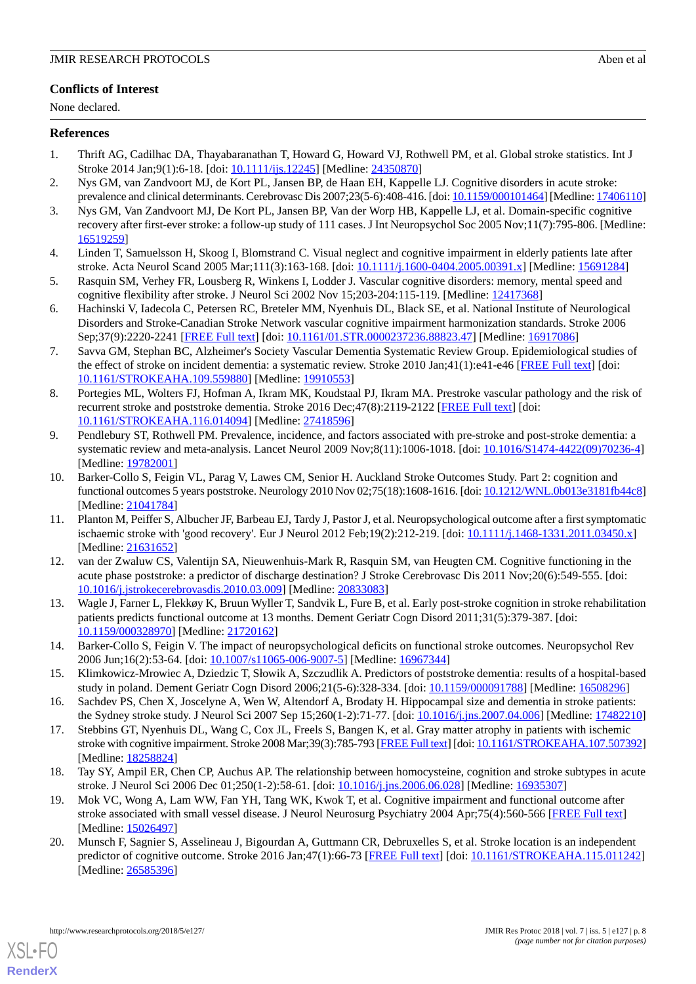# **Conflicts of Interest**

None declared.

## <span id="page-7-0"></span>**References**

- <span id="page-7-1"></span>1. Thrift AG, Cadilhac DA, Thayabaranathan T, Howard G, Howard VJ, Rothwell PM, et al. Global stroke statistics. Int J Stroke 2014 Jan;9(1):6-18. [doi: [10.1111/ijs.12245](http://dx.doi.org/10.1111/ijs.12245)] [Medline: [24350870\]](http://www.ncbi.nlm.nih.gov/entrez/query.fcgi?cmd=Retrieve&db=PubMed&list_uids=24350870&dopt=Abstract)
- <span id="page-7-3"></span>2. Nys GM, van Zandvoort MJ, de Kort PL, Jansen BP, de Haan EH, Kappelle LJ. Cognitive disorders in acute stroke: prevalence and clinical determinants. Cerebrovasc Dis 2007;23(5-6):408-416. [doi: [10.1159/000101464](http://dx.doi.org/10.1159/000101464)] [Medline: [17406110\]](http://www.ncbi.nlm.nih.gov/entrez/query.fcgi?cmd=Retrieve&db=PubMed&list_uids=17406110&dopt=Abstract)
- 3. Nys GM, Van Zandvoort MJ, De Kort PL, Jansen BP, Van der Worp HB, Kappelle LJ, et al. Domain-specific cognitive recovery after first-ever stroke: a follow-up study of 111 cases. J Int Neuropsychol Soc 2005 Nov;11(7):795-806. [Medline: [16519259](http://www.ncbi.nlm.nih.gov/entrez/query.fcgi?cmd=Retrieve&db=PubMed&list_uids=16519259&dopt=Abstract)]
- <span id="page-7-2"></span>4. Linden T, Samuelsson H, Skoog I, Blomstrand C. Visual neglect and cognitive impairment in elderly patients late after stroke. Acta Neurol Scand 2005 Mar;111(3):163-168. [doi: [10.1111/j.1600-0404.2005.00391.x\]](http://dx.doi.org/10.1111/j.1600-0404.2005.00391.x) [Medline: [15691284\]](http://www.ncbi.nlm.nih.gov/entrez/query.fcgi?cmd=Retrieve&db=PubMed&list_uids=15691284&dopt=Abstract)
- <span id="page-7-4"></span>5. Rasquin SM, Verhey FR, Lousberg R, Winkens I, Lodder J. Vascular cognitive disorders: memory, mental speed and cognitive flexibility after stroke. J Neurol Sci 2002 Nov 15;203-204:115-119. [Medline: [12417368\]](http://www.ncbi.nlm.nih.gov/entrez/query.fcgi?cmd=Retrieve&db=PubMed&list_uids=12417368&dopt=Abstract)
- <span id="page-7-5"></span>6. Hachinski V, Iadecola C, Petersen RC, Breteler MM, Nyenhuis DL, Black SE, et al. National Institute of Neurological Disorders and Stroke-Canadian Stroke Network vascular cognitive impairment harmonization standards. Stroke 2006 Sep;37(9):2220-2241 [[FREE Full text](http://stroke.ahajournals.org/cgi/pmidlookup?view=long&pmid=16917086)] [doi: [10.1161/01.STR.0000237236.88823.47](http://dx.doi.org/10.1161/01.STR.0000237236.88823.47)] [Medline: [16917086\]](http://www.ncbi.nlm.nih.gov/entrez/query.fcgi?cmd=Retrieve&db=PubMed&list_uids=16917086&dopt=Abstract)
- 7. Savva GM, Stephan BC, Alzheimer's Society Vascular Dementia Systematic Review Group. Epidemiological studies of the effect of stroke on incident dementia: a systematic review. Stroke 2010 Jan;41(1):e41-e46 [\[FREE Full text\]](http://stroke.ahajournals.org/cgi/pmidlookup?view=long&pmid=19910553) [doi: [10.1161/STROKEAHA.109.559880\]](http://dx.doi.org/10.1161/STROKEAHA.109.559880) [Medline: [19910553\]](http://www.ncbi.nlm.nih.gov/entrez/query.fcgi?cmd=Retrieve&db=PubMed&list_uids=19910553&dopt=Abstract)
- <span id="page-7-6"></span>8. Portegies ML, Wolters FJ, Hofman A, Ikram MK, Koudstaal PJ, Ikram MA. Prestroke vascular pathology and the risk of recurrent stroke and poststroke dementia. Stroke 2016 Dec;47(8):2119-2122 [[FREE Full text\]](http://stroke.ahajournals.org/cgi/pmidlookup?view=long&pmid=27418596) [doi: [10.1161/STROKEAHA.116.014094\]](http://dx.doi.org/10.1161/STROKEAHA.116.014094) [Medline: [27418596\]](http://www.ncbi.nlm.nih.gov/entrez/query.fcgi?cmd=Retrieve&db=PubMed&list_uids=27418596&dopt=Abstract)
- <span id="page-7-7"></span>9. Pendlebury ST, Rothwell PM. Prevalence, incidence, and factors associated with pre-stroke and post-stroke dementia: a systematic review and meta-analysis. Lancet Neurol 2009 Nov;8(11):1006-1018. [doi: [10.1016/S1474-4422\(09\)70236-4](http://dx.doi.org/10.1016/S1474-4422(09)70236-4)] [Medline: [19782001](http://www.ncbi.nlm.nih.gov/entrez/query.fcgi?cmd=Retrieve&db=PubMed&list_uids=19782001&dopt=Abstract)]
- 10. Barker-Collo S, Feigin VL, Parag V, Lawes CM, Senior H. Auckland Stroke Outcomes Study. Part 2: cognition and functional outcomes 5 years poststroke. Neurology 2010 Nov 02;75(18):1608-1616. [doi: [10.1212/WNL.0b013e3181fb44c8\]](http://dx.doi.org/10.1212/WNL.0b013e3181fb44c8) [Medline: [21041784](http://www.ncbi.nlm.nih.gov/entrez/query.fcgi?cmd=Retrieve&db=PubMed&list_uids=21041784&dopt=Abstract)]
- 11. Planton M, Peiffer S, Albucher JF, Barbeau EJ, Tardy J, Pastor J, et al. Neuropsychological outcome after a first symptomatic ischaemic stroke with 'good recovery'. Eur J Neurol 2012 Feb;19(2):212-219. [doi: [10.1111/j.1468-1331.2011.03450.x](http://dx.doi.org/10.1111/j.1468-1331.2011.03450.x)] [Medline: [21631652](http://www.ncbi.nlm.nih.gov/entrez/query.fcgi?cmd=Retrieve&db=PubMed&list_uids=21631652&dopt=Abstract)]
- <span id="page-7-8"></span>12. van der Zwaluw CS, Valentijn SA, Nieuwenhuis-Mark R, Rasquin SM, van Heugten CM. Cognitive functioning in the acute phase poststroke: a predictor of discharge destination? J Stroke Cerebrovasc Dis 2011 Nov;20(6):549-555. [doi: [10.1016/j.jstrokecerebrovasdis.2010.03.009](http://dx.doi.org/10.1016/j.jstrokecerebrovasdis.2010.03.009)] [Medline: [20833083](http://www.ncbi.nlm.nih.gov/entrez/query.fcgi?cmd=Retrieve&db=PubMed&list_uids=20833083&dopt=Abstract)]
- <span id="page-7-9"></span>13. Wagle J, Farner L, Flekkøy K, Bruun Wyller T, Sandvik L, Fure B, et al. Early post-stroke cognition in stroke rehabilitation patients predicts functional outcome at 13 months. Dement Geriatr Cogn Disord 2011;31(5):379-387. [doi: [10.1159/000328970\]](http://dx.doi.org/10.1159/000328970) [Medline: [21720162\]](http://www.ncbi.nlm.nih.gov/entrez/query.fcgi?cmd=Retrieve&db=PubMed&list_uids=21720162&dopt=Abstract)
- 14. Barker-Collo S, Feigin V. The impact of neuropsychological deficits on functional stroke outcomes. Neuropsychol Rev 2006 Jun;16(2):53-64. [doi: [10.1007/s11065-006-9007-5](http://dx.doi.org/10.1007/s11065-006-9007-5)] [Medline: [16967344\]](http://www.ncbi.nlm.nih.gov/entrez/query.fcgi?cmd=Retrieve&db=PubMed&list_uids=16967344&dopt=Abstract)
- 15. Klimkowicz-Mrowiec A, Dziedzic T, Słowik A, Szczudlik A. Predictors of poststroke dementia: results of a hospital-based study in poland. Dement Geriatr Cogn Disord 2006;21(5-6):328-334. [doi: [10.1159/000091788\]](http://dx.doi.org/10.1159/000091788) [Medline: [16508296](http://www.ncbi.nlm.nih.gov/entrez/query.fcgi?cmd=Retrieve&db=PubMed&list_uids=16508296&dopt=Abstract)]
- 16. Sachdev PS, Chen X, Joscelyne A, Wen W, Altendorf A, Brodaty H. Hippocampal size and dementia in stroke patients: the Sydney stroke study. J Neurol Sci 2007 Sep 15;260(1-2):71-77. [doi: [10.1016/j.jns.2007.04.006\]](http://dx.doi.org/10.1016/j.jns.2007.04.006) [Medline: [17482210](http://www.ncbi.nlm.nih.gov/entrez/query.fcgi?cmd=Retrieve&db=PubMed&list_uids=17482210&dopt=Abstract)]
- 17. Stebbins GT, Nyenhuis DL, Wang C, Cox JL, Freels S, Bangen K, et al. Gray matter atrophy in patients with ischemic stroke with cognitive impairment. Stroke 2008 Mar;39(3):785-793 [[FREE Full text\]](http://stroke.ahajournals.org/cgi/pmidlookup?view=long&pmid=18258824) [doi: [10.1161/STROKEAHA.107.507392\]](http://dx.doi.org/10.1161/STROKEAHA.107.507392) [Medline: [18258824](http://www.ncbi.nlm.nih.gov/entrez/query.fcgi?cmd=Retrieve&db=PubMed&list_uids=18258824&dopt=Abstract)]
- 18. Tay SY, Ampil ER, Chen CP, Auchus AP. The relationship between homocysteine, cognition and stroke subtypes in acute stroke. J Neurol Sci 2006 Dec 01;250(1-2):58-61. [doi: [10.1016/j.jns.2006.06.028\]](http://dx.doi.org/10.1016/j.jns.2006.06.028) [Medline: [16935307\]](http://www.ncbi.nlm.nih.gov/entrez/query.fcgi?cmd=Retrieve&db=PubMed&list_uids=16935307&dopt=Abstract)
- 19. Mok VC, Wong A, Lam WW, Fan YH, Tang WK, Kwok T, et al. Cognitive impairment and functional outcome after stroke associated with small vessel disease. J Neurol Neurosurg Psychiatry 2004 Apr;75(4):560-566 [\[FREE Full text\]](http://jnnp.bmj.com/cgi/pmidlookup?view=long&pmid=15026497) [Medline: [15026497](http://www.ncbi.nlm.nih.gov/entrez/query.fcgi?cmd=Retrieve&db=PubMed&list_uids=15026497&dopt=Abstract)]
- 20. Munsch F, Sagnier S, Asselineau J, Bigourdan A, Guttmann CR, Debruxelles S, et al. Stroke location is an independent predictor of cognitive outcome. Stroke 2016 Jan;47(1):66-73 [\[FREE Full text\]](http://stroke.ahajournals.org/cgi/pmidlookup?view=long&pmid=26585396) [doi: [10.1161/STROKEAHA.115.011242](http://dx.doi.org/10.1161/STROKEAHA.115.011242)] [Medline: [26585396](http://www.ncbi.nlm.nih.gov/entrez/query.fcgi?cmd=Retrieve&db=PubMed&list_uids=26585396&dopt=Abstract)]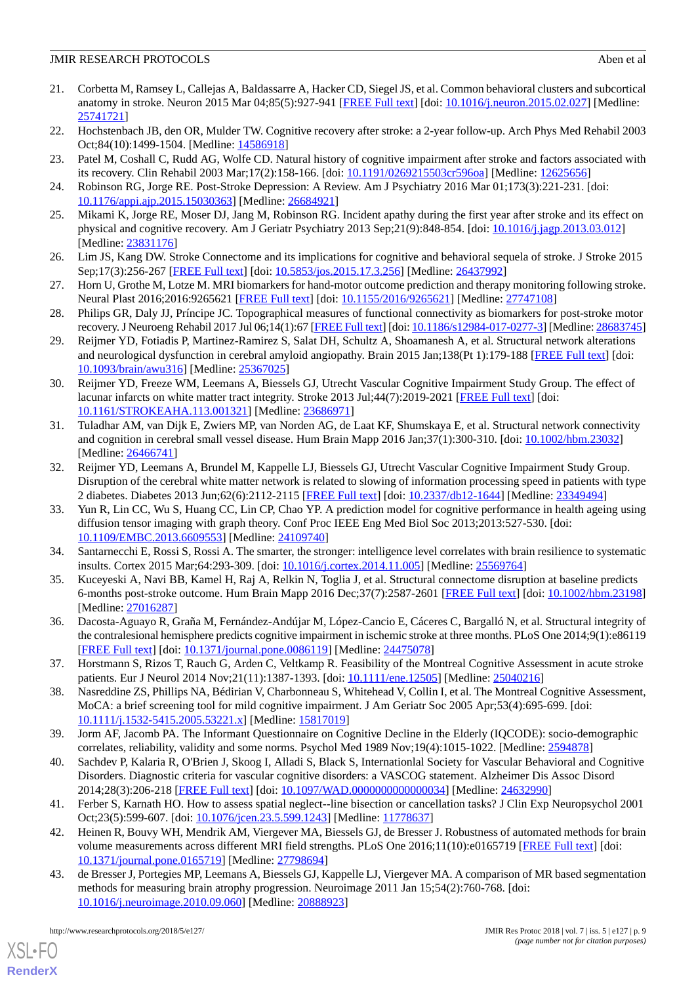- <span id="page-8-0"></span>21. Corbetta M, Ramsey L, Callejas A, Baldassarre A, Hacker CD, Siegel JS, et al. Common behavioral clusters and subcortical anatomy in stroke. Neuron 2015 Mar 04;85(5):927-941 [[FREE Full text](https://linkinghub.elsevier.com/retrieve/pii/S0896-6273(15)00142-7)] [doi: [10.1016/j.neuron.2015.02.027](http://dx.doi.org/10.1016/j.neuron.2015.02.027)] [Medline: [25741721](http://www.ncbi.nlm.nih.gov/entrez/query.fcgi?cmd=Retrieve&db=PubMed&list_uids=25741721&dopt=Abstract)]
- <span id="page-8-2"></span><span id="page-8-1"></span>22. Hochstenbach JB, den OR, Mulder TW. Cognitive recovery after stroke: a 2-year follow-up. Arch Phys Med Rehabil 2003 Oct;84(10):1499-1504. [Medline: [14586918](http://www.ncbi.nlm.nih.gov/entrez/query.fcgi?cmd=Retrieve&db=PubMed&list_uids=14586918&dopt=Abstract)]
- 23. Patel M, Coshall C, Rudd AG, Wolfe CD. Natural history of cognitive impairment after stroke and factors associated with its recovery. Clin Rehabil 2003 Mar;17(2):158-166. [doi: [10.1191/0269215503cr596oa](http://dx.doi.org/10.1191/0269215503cr596oa)] [Medline: [12625656](http://www.ncbi.nlm.nih.gov/entrez/query.fcgi?cmd=Retrieve&db=PubMed&list_uids=12625656&dopt=Abstract)]
- <span id="page-8-3"></span>24. Robinson RG, Jorge RE. Post-Stroke Depression: A Review. Am J Psychiatry 2016 Mar 01;173(3):221-231. [doi: [10.1176/appi.ajp.2015.15030363\]](http://dx.doi.org/10.1176/appi.ajp.2015.15030363) [Medline: [26684921](http://www.ncbi.nlm.nih.gov/entrez/query.fcgi?cmd=Retrieve&db=PubMed&list_uids=26684921&dopt=Abstract)]
- <span id="page-8-4"></span>25. Mikami K, Jorge RE, Moser DJ, Jang M, Robinson RG. Incident apathy during the first year after stroke and its effect on physical and cognitive recovery. Am J Geriatr Psychiatry 2013 Sep;21(9):848-854. [doi: [10.1016/j.jagp.2013.03.012\]](http://dx.doi.org/10.1016/j.jagp.2013.03.012) [Medline: [23831176](http://www.ncbi.nlm.nih.gov/entrez/query.fcgi?cmd=Retrieve&db=PubMed&list_uids=23831176&dopt=Abstract)]
- <span id="page-8-5"></span>26. Lim JS, Kang DW. Stroke Connectome and its implications for cognitive and behavioral sequela of stroke. J Stroke 2015 Sep;17(3):256-267 [[FREE Full text](https://dx.doi.org/10.5853/jos.2015.17.3.256)] [doi: [10.5853/jos.2015.17.3.256](http://dx.doi.org/10.5853/jos.2015.17.3.256)] [Medline: [26437992](http://www.ncbi.nlm.nih.gov/entrez/query.fcgi?cmd=Retrieve&db=PubMed&list_uids=26437992&dopt=Abstract)]
- <span id="page-8-6"></span>27. Horn U, Grothe M, Lotze M. MRI biomarkers for hand-motor outcome prediction and therapy monitoring following stroke. Neural Plast 2016;2016:9265621 [[FREE Full text\]](https://dx.doi.org/10.1155/2016/9265621) [doi: [10.1155/2016/9265621](http://dx.doi.org/10.1155/2016/9265621)] [Medline: [27747108](http://www.ncbi.nlm.nih.gov/entrez/query.fcgi?cmd=Retrieve&db=PubMed&list_uids=27747108&dopt=Abstract)]
- <span id="page-8-7"></span>28. Philips GR, Daly JJ, Príncipe JC. Topographical measures of functional connectivity as biomarkers for post-stroke motor recovery. J Neuroeng Rehabil 2017 Jul 06;14(1):67 [\[FREE Full text](https://jneuroengrehab.biomedcentral.com/articles/10.1186/s12984-017-0277-3)] [doi: [10.1186/s12984-017-0277-3](http://dx.doi.org/10.1186/s12984-017-0277-3)] [Medline: [28683745\]](http://www.ncbi.nlm.nih.gov/entrez/query.fcgi?cmd=Retrieve&db=PubMed&list_uids=28683745&dopt=Abstract)
- 29. Reijmer YD, Fotiadis P, Martinez-Ramirez S, Salat DH, Schultz A, Shoamanesh A, et al. Structural network alterations and neurological dysfunction in cerebral amyloid angiopathy. Brain 2015 Jan;138(Pt 1):179-188 [\[FREE Full text\]](http://europepmc.org/abstract/MED/25367025) [doi: [10.1093/brain/awu316\]](http://dx.doi.org/10.1093/brain/awu316) [Medline: [25367025](http://www.ncbi.nlm.nih.gov/entrez/query.fcgi?cmd=Retrieve&db=PubMed&list_uids=25367025&dopt=Abstract)]
- 30. Reijmer YD, Freeze WM, Leemans A, Biessels GJ, Utrecht Vascular Cognitive Impairment Study Group. The effect of lacunar infarcts on white matter tract integrity. Stroke 2013 Jul;44(7):2019-2021 [[FREE Full text\]](http://stroke.ahajournals.org/cgi/pmidlookup?view=long&pmid=23686971) [doi: [10.1161/STROKEAHA.113.001321\]](http://dx.doi.org/10.1161/STROKEAHA.113.001321) [Medline: [23686971\]](http://www.ncbi.nlm.nih.gov/entrez/query.fcgi?cmd=Retrieve&db=PubMed&list_uids=23686971&dopt=Abstract)
- <span id="page-8-8"></span>31. Tuladhar AM, van Dijk E, Zwiers MP, van Norden AG, de Laat KF, Shumskaya E, et al. Structural network connectivity and cognition in cerebral small vessel disease. Hum Brain Mapp 2016 Jan;37(1):300-310. [doi: [10.1002/hbm.23032\]](http://dx.doi.org/10.1002/hbm.23032) [Medline: [26466741](http://www.ncbi.nlm.nih.gov/entrez/query.fcgi?cmd=Retrieve&db=PubMed&list_uids=26466741&dopt=Abstract)]
- <span id="page-8-9"></span>32. Reijmer YD, Leemans A, Brundel M, Kappelle LJ, Biessels GJ, Utrecht Vascular Cognitive Impairment Study Group. Disruption of the cerebral white matter network is related to slowing of information processing speed in patients with type 2 diabetes. Diabetes 2013 Jun;62(6):2112-2115 [\[FREE Full text](http://diabetes.diabetesjournals.org/cgi/pmidlookup?view=long&pmid=23349494)] [doi: [10.2337/db12-1644](http://dx.doi.org/10.2337/db12-1644)] [Medline: [23349494](http://www.ncbi.nlm.nih.gov/entrez/query.fcgi?cmd=Retrieve&db=PubMed&list_uids=23349494&dopt=Abstract)]
- <span id="page-8-11"></span><span id="page-8-10"></span>33. Yun R, Lin CC, Wu S, Huang CC, Lin CP, Chao YP. A prediction model for cognitive performance in health ageing using diffusion tensor imaging with graph theory. Conf Proc IEEE Eng Med Biol Soc 2013;2013:527-530. [doi: [10.1109/EMBC.2013.6609553](http://dx.doi.org/10.1109/EMBC.2013.6609553)] [Medline: [24109740\]](http://www.ncbi.nlm.nih.gov/entrez/query.fcgi?cmd=Retrieve&db=PubMed&list_uids=24109740&dopt=Abstract)
- <span id="page-8-12"></span>34. Santarnecchi E, Rossi S, Rossi A. The smarter, the stronger: intelligence level correlates with brain resilience to systematic insults. Cortex 2015 Mar;64:293-309. [doi: [10.1016/j.cortex.2014.11.005\]](http://dx.doi.org/10.1016/j.cortex.2014.11.005) [Medline: [25569764](http://www.ncbi.nlm.nih.gov/entrez/query.fcgi?cmd=Retrieve&db=PubMed&list_uids=25569764&dopt=Abstract)]
- <span id="page-8-13"></span>35. Kuceyeski A, Navi BB, Kamel H, Raj A, Relkin N, Toglia J, et al. Structural connectome disruption at baseline predicts 6-months post-stroke outcome. Hum Brain Mapp 2016 Dec;37(7):2587-2601 [\[FREE Full text\]](http://europepmc.org/abstract/MED/27016287) [doi: [10.1002/hbm.23198](http://dx.doi.org/10.1002/hbm.23198)] [Medline: [27016287](http://www.ncbi.nlm.nih.gov/entrez/query.fcgi?cmd=Retrieve&db=PubMed&list_uids=27016287&dopt=Abstract)]
- <span id="page-8-14"></span>36. Dacosta-Aguayo R, Graña M, Fernández-Andújar M, López-Cancio E, Cáceres C, Bargalló N, et al. Structural integrity of the contralesional hemisphere predicts cognitive impairment in ischemic stroke at three months. PLoS One 2014;9(1):e86119 [[FREE Full text](http://dx.plos.org/10.1371/journal.pone.0086119)] [doi: [10.1371/journal.pone.0086119](http://dx.doi.org/10.1371/journal.pone.0086119)] [Medline: [24475078](http://www.ncbi.nlm.nih.gov/entrez/query.fcgi?cmd=Retrieve&db=PubMed&list_uids=24475078&dopt=Abstract)]
- <span id="page-8-15"></span>37. Horstmann S, Rizos T, Rauch G, Arden C, Veltkamp R. Feasibility of the Montreal Cognitive Assessment in acute stroke patients. Eur J Neurol 2014 Nov; 21(11): 1387-1393. [doi: [10.1111/ene.12505](http://dx.doi.org/10.1111/ene.12505)] [Medline: [25040216](http://www.ncbi.nlm.nih.gov/entrez/query.fcgi?cmd=Retrieve&db=PubMed&list_uids=25040216&dopt=Abstract)]
- <span id="page-8-16"></span>38. Nasreddine ZS, Phillips NA, Bédirian V, Charbonneau S, Whitehead V, Collin I, et al. The Montreal Cognitive Assessment, MoCA: a brief screening tool for mild cognitive impairment. J Am Geriatr Soc 2005 Apr;53(4):695-699. [doi: [10.1111/j.1532-5415.2005.53221.x\]](http://dx.doi.org/10.1111/j.1532-5415.2005.53221.x) [Medline: [15817019\]](http://www.ncbi.nlm.nih.gov/entrez/query.fcgi?cmd=Retrieve&db=PubMed&list_uids=15817019&dopt=Abstract)
- <span id="page-8-17"></span>39. Jorm AF, Jacomb PA. The Informant Questionnaire on Cognitive Decline in the Elderly (IQCODE): socio-demographic correlates, reliability, validity and some norms. Psychol Med 1989 Nov;19(4):1015-1022. [Medline: [2594878](http://www.ncbi.nlm.nih.gov/entrez/query.fcgi?cmd=Retrieve&db=PubMed&list_uids=2594878&dopt=Abstract)]
- <span id="page-8-18"></span>40. Sachdev P, Kalaria R, O'Brien J, Skoog I, Alladi S, Black S, Internationlal Society for Vascular Behavioral and Cognitive Disorders. Diagnostic criteria for vascular cognitive disorders: a VASCOG statement. Alzheimer Dis Assoc Disord 2014;28(3):206-218 [[FREE Full text](http://europepmc.org/abstract/MED/24632990)] [doi: [10.1097/WAD.0000000000000034](http://dx.doi.org/10.1097/WAD.0000000000000034)] [Medline: [24632990\]](http://www.ncbi.nlm.nih.gov/entrez/query.fcgi?cmd=Retrieve&db=PubMed&list_uids=24632990&dopt=Abstract)
- <span id="page-8-19"></span>41. Ferber S, Karnath HO. How to assess spatial neglect--line bisection or cancellation tasks? J Clin Exp Neuropsychol 2001 Oct;23(5):599-607. [doi: [10.1076/jcen.23.5.599.1243\]](http://dx.doi.org/10.1076/jcen.23.5.599.1243) [Medline: [11778637\]](http://www.ncbi.nlm.nih.gov/entrez/query.fcgi?cmd=Retrieve&db=PubMed&list_uids=11778637&dopt=Abstract)
- 42. Heinen R, Bouvy WH, Mendrik AM, Viergever MA, Biessels GJ, de Bresser J. Robustness of automated methods for brain volume measurements across different MRI field strengths. PLoS One 2016;11(10):e0165719 [\[FREE Full text\]](http://dx.plos.org/10.1371/journal.pone.0165719) [doi: [10.1371/journal.pone.0165719\]](http://dx.doi.org/10.1371/journal.pone.0165719) [Medline: [27798694](http://www.ncbi.nlm.nih.gov/entrez/query.fcgi?cmd=Retrieve&db=PubMed&list_uids=27798694&dopt=Abstract)]
- 43. de Bresser J, Portegies MP, Leemans A, Biessels GJ, Kappelle LJ, Viergever MA. A comparison of MR based segmentation methods for measuring brain atrophy progression. Neuroimage 2011 Jan 15;54(2):760-768. [doi: [10.1016/j.neuroimage.2010.09.060\]](http://dx.doi.org/10.1016/j.neuroimage.2010.09.060) [Medline: [20888923\]](http://www.ncbi.nlm.nih.gov/entrez/query.fcgi?cmd=Retrieve&db=PubMed&list_uids=20888923&dopt=Abstract)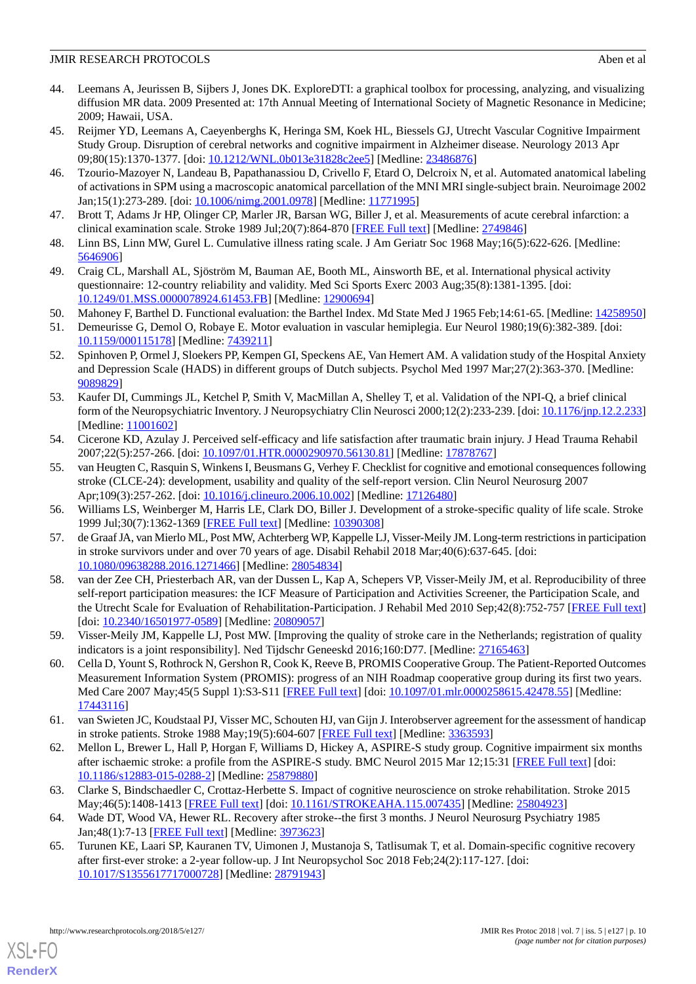- <span id="page-9-0"></span>44. Leemans A, Jeurissen B, Sijbers J, Jones DK. ExploreDTI: a graphical toolbox for processing, analyzing, and visualizing diffusion MR data. 2009 Presented at: 17th Annual Meeting of International Society of Magnetic Resonance in Medicine; 2009; Hawaii, USA.
- <span id="page-9-1"></span>45. Reijmer YD, Leemans A, Caeyenberghs K, Heringa SM, Koek HL, Biessels GJ, Utrecht Vascular Cognitive Impairment Study Group. Disruption of cerebral networks and cognitive impairment in Alzheimer disease. Neurology 2013 Apr 09;80(15):1370-1377. [doi: [10.1212/WNL.0b013e31828c2ee5\]](http://dx.doi.org/10.1212/WNL.0b013e31828c2ee5) [Medline: [23486876](http://www.ncbi.nlm.nih.gov/entrez/query.fcgi?cmd=Retrieve&db=PubMed&list_uids=23486876&dopt=Abstract)]
- <span id="page-9-2"></span>46. Tzourio-Mazoyer N, Landeau B, Papathanassiou D, Crivello F, Etard O, Delcroix N, et al. Automated anatomical labeling of activations in SPM using a macroscopic anatomical parcellation of the MNI MRI single-subject brain. Neuroimage 2002 Jan;15(1):273-289. [doi: [10.1006/nimg.2001.0978\]](http://dx.doi.org/10.1006/nimg.2001.0978) [Medline: [11771995](http://www.ncbi.nlm.nih.gov/entrez/query.fcgi?cmd=Retrieve&db=PubMed&list_uids=11771995&dopt=Abstract)]
- <span id="page-9-4"></span><span id="page-9-3"></span>47. Brott T, Adams Jr HP, Olinger CP, Marler JR, Barsan WG, Biller J, et al. Measurements of acute cerebral infarction: a clinical examination scale. Stroke 1989 Jul;20(7):864-870 [\[FREE Full text\]](http://stroke.ahajournals.org/cgi/pmidlookup?view=long&pmid=2749846) [Medline: [2749846\]](http://www.ncbi.nlm.nih.gov/entrez/query.fcgi?cmd=Retrieve&db=PubMed&list_uids=2749846&dopt=Abstract)
- <span id="page-9-5"></span>48. Linn BS, Linn MW, Gurel L. Cumulative illness rating scale. J Am Geriatr Soc 1968 May;16(5):622-626. [Medline: [5646906\]](http://www.ncbi.nlm.nih.gov/entrez/query.fcgi?cmd=Retrieve&db=PubMed&list_uids=5646906&dopt=Abstract)
- <span id="page-9-6"></span>49. Craig CL, Marshall AL, Sjöström M, Bauman AE, Booth ML, Ainsworth BE, et al. International physical activity questionnaire: 12-country reliability and validity. Med Sci Sports Exerc 2003 Aug;35(8):1381-1395. [doi: [10.1249/01.MSS.0000078924.61453.FB](http://dx.doi.org/10.1249/01.MSS.0000078924.61453.FB)] [Medline: [12900694\]](http://www.ncbi.nlm.nih.gov/entrez/query.fcgi?cmd=Retrieve&db=PubMed&list_uids=12900694&dopt=Abstract)
- <span id="page-9-7"></span>50. Mahoney F, Barthel D. Functional evaluation: the Barthel Index. Md State Med J 1965 Feb;14:61-65. [Medline: [14258950](http://www.ncbi.nlm.nih.gov/entrez/query.fcgi?cmd=Retrieve&db=PubMed&list_uids=14258950&dopt=Abstract)]
- <span id="page-9-8"></span>51. Demeurisse G, Demol O, Robaye E. Motor evaluation in vascular hemiplegia. Eur Neurol 1980;19(6):382-389. [doi: [10.1159/000115178\]](http://dx.doi.org/10.1159/000115178) [Medline: [7439211\]](http://www.ncbi.nlm.nih.gov/entrez/query.fcgi?cmd=Retrieve&db=PubMed&list_uids=7439211&dopt=Abstract)
- <span id="page-9-9"></span>52. Spinhoven P, Ormel J, Sloekers PP, Kempen GI, Speckens AE, Van Hemert AM. A validation study of the Hospital Anxiety and Depression Scale (HADS) in different groups of Dutch subjects. Psychol Med 1997 Mar;27(2):363-370. [Medline: [9089829\]](http://www.ncbi.nlm.nih.gov/entrez/query.fcgi?cmd=Retrieve&db=PubMed&list_uids=9089829&dopt=Abstract)
- <span id="page-9-10"></span>53. Kaufer DI, Cummings JL, Ketchel P, Smith V, MacMillan A, Shelley T, et al. Validation of the NPI-Q, a brief clinical form of the Neuropsychiatric Inventory. J Neuropsychiatry Clin Neurosci 2000;12(2):233-239. [doi: [10.1176/jnp.12.2.233](http://dx.doi.org/10.1176/jnp.12.2.233)] [Medline: [11001602](http://www.ncbi.nlm.nih.gov/entrez/query.fcgi?cmd=Retrieve&db=PubMed&list_uids=11001602&dopt=Abstract)]
- <span id="page-9-11"></span>54. Cicerone KD, Azulay J. Perceived self-efficacy and life satisfaction after traumatic brain injury. J Head Trauma Rehabil 2007;22(5):257-266. [doi: [10.1097/01.HTR.0000290970.56130.81\]](http://dx.doi.org/10.1097/01.HTR.0000290970.56130.81) [Medline: [17878767\]](http://www.ncbi.nlm.nih.gov/entrez/query.fcgi?cmd=Retrieve&db=PubMed&list_uids=17878767&dopt=Abstract)
- <span id="page-9-13"></span><span id="page-9-12"></span>55. van Heugten C, Rasquin S, Winkens I, Beusmans G, Verhey F. Checklist for cognitive and emotional consequences following stroke (CLCE-24): development, usability and quality of the self-report version. Clin Neurol Neurosurg 2007 Apr;109(3):257-262. [doi: [10.1016/j.clineuro.2006.10.002\]](http://dx.doi.org/10.1016/j.clineuro.2006.10.002) [Medline: [17126480\]](http://www.ncbi.nlm.nih.gov/entrez/query.fcgi?cmd=Retrieve&db=PubMed&list_uids=17126480&dopt=Abstract)
- <span id="page-9-14"></span>56. Williams LS, Weinberger M, Harris LE, Clark DO, Biller J. Development of a stroke-specific quality of life scale. Stroke 1999 Jul;30(7):1362-1369 [\[FREE Full text\]](http://stroke.ahajournals.org/cgi/pmidlookup?view=long&pmid=10390308) [Medline: [10390308](http://www.ncbi.nlm.nih.gov/entrez/query.fcgi?cmd=Retrieve&db=PubMed&list_uids=10390308&dopt=Abstract)]
- 57. de Graaf JA, van Mierlo ML, Post MW, Achterberg WP, Kappelle LJ, Visser-Meily JM. Long-term restrictions in participation in stroke survivors under and over 70 years of age. Disabil Rehabil 2018 Mar;40(6):637-645. [doi: [10.1080/09638288.2016.1271466\]](http://dx.doi.org/10.1080/09638288.2016.1271466) [Medline: [28054834\]](http://www.ncbi.nlm.nih.gov/entrez/query.fcgi?cmd=Retrieve&db=PubMed&list_uids=28054834&dopt=Abstract)
- <span id="page-9-16"></span><span id="page-9-15"></span>58. van der Zee CH, Priesterbach AR, van der Dussen L, Kap A, Schepers VP, Visser-Meily JM, et al. Reproducibility of three self-report participation measures: the ICF Measure of Participation and Activities Screener, the Participation Scale, and the Utrecht Scale for Evaluation of Rehabilitation-Participation. J Rehabil Med 2010 Sep;42(8):752-757 [\[FREE Full text](https://www.medicaljournals.se/jrm/content/abstract/10.2340/16501977-0589)] [doi: [10.2340/16501977-0589](http://dx.doi.org/10.2340/16501977-0589)] [Medline: [20809057](http://www.ncbi.nlm.nih.gov/entrez/query.fcgi?cmd=Retrieve&db=PubMed&list_uids=20809057&dopt=Abstract)]
- <span id="page-9-17"></span>59. Visser-Meily JM, Kappelle LJ, Post MW. [Improving the quality of stroke care in the Netherlands; registration of quality indicators is a joint responsibility]. Ned Tijdschr Geneeskd 2016;160:D77. [Medline: [27165463\]](http://www.ncbi.nlm.nih.gov/entrez/query.fcgi?cmd=Retrieve&db=PubMed&list_uids=27165463&dopt=Abstract)
- <span id="page-9-18"></span>60. Cella D, Yount S, Rothrock N, Gershon R, Cook K, Reeve B, PROMIS Cooperative Group. The Patient-Reported Outcomes Measurement Information System (PROMIS): progress of an NIH Roadmap cooperative group during its first two years. Med Care 2007 May;45(5 Suppl 1):S3-S11 [\[FREE Full text\]](http://europepmc.org/abstract/MED/17443116) [doi: [10.1097/01.mlr.0000258615.42478.55\]](http://dx.doi.org/10.1097/01.mlr.0000258615.42478.55) [Medline: [17443116](http://www.ncbi.nlm.nih.gov/entrez/query.fcgi?cmd=Retrieve&db=PubMed&list_uids=17443116&dopt=Abstract)]
- <span id="page-9-19"></span>61. van Swieten JC, Koudstaal PJ, Visser MC, Schouten HJ, van Gijn J. Interobserver agreement for the assessment of handicap in stroke patients. Stroke 1988 May;19(5):604-607 [[FREE Full text\]](http://stroke.ahajournals.org/cgi/pmidlookup?view=long&pmid=3363593) [Medline: [3363593\]](http://www.ncbi.nlm.nih.gov/entrez/query.fcgi?cmd=Retrieve&db=PubMed&list_uids=3363593&dopt=Abstract)
- <span id="page-9-20"></span>62. Mellon L, Brewer L, Hall P, Horgan F, Williams D, Hickey A, ASPIRE-S study group. Cognitive impairment six months after ischaemic stroke: a profile from the ASPIRE-S study. BMC Neurol 2015 Mar 12;15:31 [[FREE Full text](https://bmcneurol.biomedcentral.com/articles/10.1186/s12883-015-0288-2)] [doi: [10.1186/s12883-015-0288-2\]](http://dx.doi.org/10.1186/s12883-015-0288-2) [Medline: [25879880](http://www.ncbi.nlm.nih.gov/entrez/query.fcgi?cmd=Retrieve&db=PubMed&list_uids=25879880&dopt=Abstract)]
- 63. Clarke S, Bindschaedler C, Crottaz-Herbette S. Impact of cognitive neuroscience on stroke rehabilitation. Stroke 2015 May;46(5):1408-1413 [\[FREE Full text\]](http://stroke.ahajournals.org/cgi/pmidlookup?view=long&pmid=25804923) [doi: [10.1161/STROKEAHA.115.007435](http://dx.doi.org/10.1161/STROKEAHA.115.007435)] [Medline: [25804923](http://www.ncbi.nlm.nih.gov/entrez/query.fcgi?cmd=Retrieve&db=PubMed&list_uids=25804923&dopt=Abstract)]
- 64. Wade DT, Wood VA, Hewer RL. Recovery after stroke--the first 3 months. J Neurol Neurosurg Psychiatry 1985 Jan;48(1):7-13 [\[FREE Full text\]](http://jnnp.bmj.com/cgi/pmidlookup?view=long&pmid=3973623) [Medline: [3973623](http://www.ncbi.nlm.nih.gov/entrez/query.fcgi?cmd=Retrieve&db=PubMed&list_uids=3973623&dopt=Abstract)]
- 65. Turunen KE, Laari SP, Kauranen TV, Uimonen J, Mustanoja S, Tatlisumak T, et al. Domain-specific cognitive recovery after first-ever stroke: a 2-year follow-up. J Int Neuropsychol Soc 2018 Feb;24(2):117-127. [doi: [10.1017/S1355617717000728](http://dx.doi.org/10.1017/S1355617717000728)] [Medline: [28791943](http://www.ncbi.nlm.nih.gov/entrez/query.fcgi?cmd=Retrieve&db=PubMed&list_uids=28791943&dopt=Abstract)]